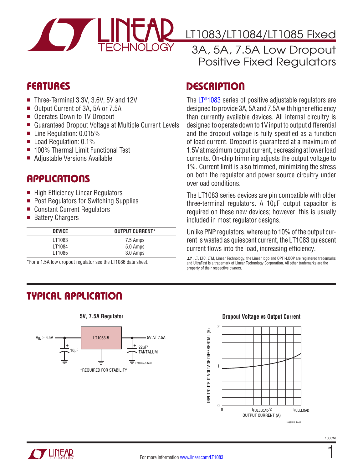

LT1083/LT1084/LT1085 Fixed

## 3A, 5A, 7.5A Low Dropout Positive Fixed Regulators

## Features

- Three-Terminal 3.3V, 3.6V, 5V and 12V
- Output Current of 3A, 5A or 7.5A
- Operates Down to 1V Dropout
- Guaranteed Dropout Voltage at Multiple Current Levels
- Line Regulation:  $0.015%$
- $\blacksquare$  Load Regulation: 0.1%
- 100% Thermal Limit Functional Test
- Adjustable Versions Available

## Applications

- High Efficiency Linear Regulators
- Post Regulators for Switching Supplies
- Constant Current Regulators
- Battery Chargers

| <b>DEVICE</b> | <b>OUTPUT CURRENT*</b> |
|---------------|------------------------|
| LT1083        | 7.5 Amps               |
| LT1084        | 5.0 Amps               |
| LT1085        | 3.0 Amps               |

\*For a 1.5A low dropout regulator see the LT1086 data sheet.

# Typical Application



**5V, 7.5A Regulator**

## **DESCRIPTION**

The [LT®1083](http://www.linear.com/LT1083) series of positive adjustable regulators are designed to provide 3A, 5A and 7.5A with higher efficiency than currently available devices. All internal circuitry is designed to operate down to 1V input to output differential and the dropout voltage is fully specified as a function of load current. Dropout is guaranteed at a maximum of 1.5V at maximum output current, decreasing at lower load currents. On-chip trimming adjusts the output voltage to 1%. Current limit is also trimmed, minimizing the stress on both the regulator and power source circuitry under overload conditions.

The LT1083 series devices are pin compatible with older three-terminal regulators. A 10µF output capacitor is required on these new devices; however, this is usually included in most regulator designs.

Unlike PNP regulators, where up to 10% of the output current is wasted as quiescent current, the LT1083 quiescent current flows into the load, increasing efficiency.

 $I$ , LT, LTC, LTM, Linear Technology, the Linear logo and OPTI-LOOP are registered trademarks and UltraFast is a trademark of Linear Technology Corporation. All other trademarks are the property of their respective owners.

#### **Dropout Voltage vs Output Current**





1083ffe

1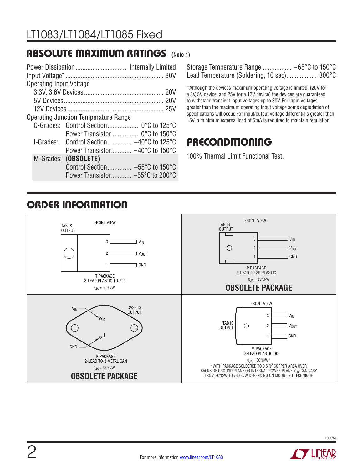## Absolute Maximum Ratings **(Note 1)**

| <b>Operating Input Voltage</b> |                                                                  |  |
|--------------------------------|------------------------------------------------------------------|--|
|                                |                                                                  |  |
|                                |                                                                  |  |
|                                |                                                                  |  |
|                                | Operating Junction Temperature Range                             |  |
|                                |                                                                  |  |
|                                |                                                                  |  |
|                                | $l$ -Grades: Control Section $-40^{\circ}$ C to 125 $^{\circ}$ C |  |
|                                | Power Transistor $-40^{\circ}$ C to 150 $^{\circ}$ C             |  |
| M-Grades:                      | (OBSOLETE)                                                       |  |
|                                | Control Section -55°C to 150°C                                   |  |
|                                | Power Transistor $-55^{\circ}$ C to 200 $^{\circ}$ C             |  |
|                                |                                                                  |  |

Storage Temperature Range ................. –65°C to 150°C Lead Temperature (Soldering, 10 sec).................. 300°C

\*Although the devices maximum operating voltage is limited, (20V for a 3V, 5V device, and 25V for a 12V device) the devices are guaranteed to withstand transient input voltages up to 30V. For input voltages greater than the maximum operating input voltage some degradation of specifications will occur. For input/output voltage differentials greater than 15V, a minimum external load of 5mA is required to maintain regulation.

## **PRECONDITIONING**

100% Thermal Limit Functional Test.

# Order Information

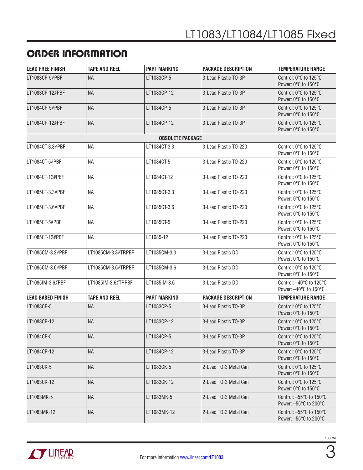# Order Information

| <b>LEAD FREE FINISH</b>  | <b>TAPE AND REEL</b> | <b>PART MARKING</b>     | <b>PACKAGE DESCRIPTION</b> | <b>TEMPERATURE RANGE</b>                         |
|--------------------------|----------------------|-------------------------|----------------------------|--------------------------------------------------|
| LT1083CP-5#PBF           | <b>NA</b>            | LT1083CP-5              | 3-Lead Plastic TO-3P       | Control: 0°C to 125°C<br>Power: 0°C to 150°C     |
| LT1083CP-12#PBF          | <b>NA</b>            | LT1083CP-12             | 3-Lead Plastic TO-3P       | Control: 0°C to 125°C<br>Power: 0°C to 150°C     |
| LT1084CP-5#PBF           | <b>NA</b>            | LT1084CP-5              | 3-Lead Plastic TO-3P       | Control: 0°C to 125°C<br>Power: 0°C to 150°C     |
| LT1084CP-12#PBF          | <b>NA</b>            | LT1084CP-12             | 3-Lead Plastic TO-3P       | Control: 0°C to 125°C<br>Power: 0°C to 150°C     |
|                          |                      | <b>OBSOLETE PACKAGE</b> |                            |                                                  |
| LT1084CT-3.3#PBF         | <b>NA</b>            | LT1084CT-3.3            | 3-Lead Plastic TO-220      | Control: 0°C to 125°C<br>Power: 0°C to 150°C     |
| LT1084CT-5#PBF           | <b>NA</b>            | LT1084CT-5              | 3-Lead Plastic TO-220      | Control: 0°C to 125°C<br>Power: 0°C to 150°C     |
| LT1084CT-12#PBF          | ΝA                   | LT1084CT-12             | 3-Lead Plastic TO-220      | Control: 0°C to 125°C<br>Power: 0°C to 150°C     |
| LT1085CT-3.3#PBF         | <b>NA</b>            | LT1085CT-3.3            | 3-Lead Plastic TO-220      | Control: 0°C to 125°C<br>Power: 0°C to 150°C     |
| LT1085CT-3.6#PBF         | ΝA                   | LT1085CT-3.6            | 3-Lead Plastic TO-220      | Control: 0°C to 125°C<br>Power: 0°C to 150°C     |
| LT1085CT-5#PBF           | <b>NA</b>            | LT1085CT-5              | 3-Lead Plastic TO-220      | Control: 0°C to 125°C<br>Power: 0°C to 150°C     |
| LT1085CT-12#PBF          | ΝA                   | LT1085-12               | 3-Lead Plastic TO-220      | Control: 0°C to 125°C<br>Power: 0°C to 150°C     |
| LT1085CM-3.3#PBF         | LT1085CM-3.3#TRPBF   | LT1085CM-3.3            | 3-Lead Plastic DD          | Control: 0°C to 125°C<br>Power: 0°C to 150°C     |
| LT1085CM-3.6#PBF         | LT1085CM-3.6#TRPBF   | LT1085CM-3.6            | 3-Lead Plastic DD          | Control: 0°C to 125°C<br>Power: 0°C to 150°C     |
| LT1085IM-3.6#PBF         | LT1085IM-3.6#TRPBF   | LT1085IM-3.6            | 3-Lead Plastic DD          | Control: -40°C to 125°C<br>Power: -40°C to 150°C |
| <b>LEAD BASED FINISH</b> | <b>TAPE AND REEL</b> | <b>PART MARKING</b>     | <b>PACKAGE DESCRIPTION</b> | <b>TEMPERATURE RANGE</b>                         |
| LT1083CP-5               | <b>NA</b>            | LT1083CP-5              | 3-Lead Plastic TO-3P       | Control: 0°C to 125°C<br>Power: 0°C to 150°C     |
| LT1083CP-12              | <b>NA</b>            | LT1083CP-12             | 3-Lead Plastic TO-3P       | Control: 0°C to 125°C<br>Power: 0°C to 150°C     |
| LT1084CP-5               | <b>NA</b>            | LT1084CP-5              | 3-Lead Plastic TO-3P       | Control: 0°C to 125°C<br>Power: 0°C to 150°C     |
| LT1084CP-12              | <b>NA</b>            | LT1084CP-12             | 3-Lead Plastic TO-3P       | Control: 0°C to 125°C<br>Power: 0°C to 150°C     |
| LT1083CK-5               | <b>NA</b>            | LT1083CK-5              | 2-Lead TO-3 Metal Can      | Control: 0°C to 125°C<br>Power: 0°C to 150°C     |
| LT1083CK-12              | <b>NA</b>            | LT1083CK-12             | 2-Lead TO-3 Metal Can      | Control: 0°C to 125°C<br>Power: 0°C to 150°C     |
| LT1083MK-5               | <b>NA</b>            | LT1083MK-5              | 2-Lead TO-3 Metal Can      | Control: -55°C to 150°C<br>Power: -55°C to 200°C |
| LT1083MK-12              | <b>NA</b>            | LT1083MK-12             | 2-Lead TO-3 Metal Can      | Control: -55°C to 150°C<br>Power: -55°C to 200°C |

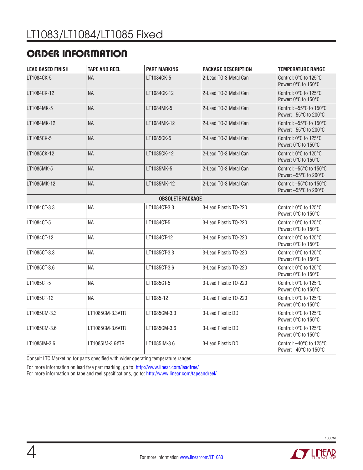# ORDER INFORMATION

| <b>LEAD BASED FINISH</b> | <b>TAPE AND REEL</b> | <b>PART MARKING</b>     | <b>PACKAGE DESCRIPTION</b> | <b>TEMPERATURE RANGE</b>                                                                   |
|--------------------------|----------------------|-------------------------|----------------------------|--------------------------------------------------------------------------------------------|
| I T1084CK-5              | <b>NA</b>            | LT1084CK-5              | 2-Lead TO-3 Metal Can      | Control: 0°C to 125°C<br>Power: 0°C to 150°C                                               |
| LT1084CK-12              | <b>NA</b>            | LT1084CK-12             | 2-Lead TO-3 Metal Can      | Control: 0°C to 125°C<br>Power: 0°C to 150°C                                               |
| LT1084MK-5               | <b>NA</b>            | LT1084MK-5              | 2-Lead TO-3 Metal Can      | Control: $-55^{\circ}$ C to 150 $^{\circ}$ C<br>Power: $-55^{\circ}$ C to 200 $^{\circ}$ C |
| LT1084MK-12              | <b>NA</b>            | LT1084MK-12             | 2-Lead TO-3 Metal Can      | Control: $-55^{\circ}$ C to 150 $^{\circ}$ C<br>Power: - 55°C to 200°C                     |
| LT1085CK-5               | <b>NA</b>            | LT1085CK-5              | 2-Lead TO-3 Metal Can      | Control: 0°C to 125°C<br>Power: 0°C to 150°C                                               |
| LT1085CK-12              | <b>NA</b>            | LT1085CK-12             | 2-Lead TO-3 Metal Can      | Control: 0°C to 125°C<br>Power: 0°C to 150°C                                               |
| LT1085MK-5               | <b>NA</b>            | LT1085MK-5              | 2-Lead TO-3 Metal Can      | Control: $-55^{\circ}$ C to 150 $^{\circ}$ C<br>Power: -55°C to 200°C                      |
| LT1085MK-12              | <b>NA</b>            | LT1085MK-12             | 2-Lead TO-3 Metal Can      | Control: $-55^{\circ}$ C to 150 $^{\circ}$ C<br>Power: - 55°C to 200°C                     |
|                          |                      | <b>OBSOLETE PACKAGE</b> |                            |                                                                                            |
| LT1084CT-3.3             | <b>NA</b>            | LT1084CT-3.3            | 3-Lead Plastic TO-220      | Control: 0°C to 125°C<br>Power: 0°C to 150°C                                               |
| LT1084CT-5               | <b>NA</b>            | LT1084CT-5              | 3-Lead Plastic TO-220      | Control: 0°C to 125°C<br>Power: 0°C to 150°C                                               |
| LT1084CT-12              | <b>NA</b>            | LT1084CT-12             | 3-Lead Plastic TO-220      | Control: 0°C to 125°C<br>Power: 0°C to 150°C                                               |
| LT1085CT-3.3             | <b>NA</b>            | LT1085CT-3.3            | 3-Lead Plastic TO-220      | Control: 0°C to 125°C<br>Power: 0°C to 150°C                                               |
| LT1085CT-3.6             | <b>NA</b>            | LT1085CT-3.6            | 3-Lead Plastic TO-220      | Control: 0°C to 125°C<br>Power: 0°C to 150°C                                               |
| LT1085CT-5               | <b>NA</b>            | LT1085CT-5              | 3-Lead Plastic TO-220      | Control: 0°C to 125°C<br>Power: 0°C to 150°C                                               |
| LT1085CT-12              | <b>NA</b>            | LT1085-12               | 3-Lead Plastic TO-220      | Control: 0°C to 125°C<br>Power: 0°C to 150°C                                               |
| LT1085CM-3.3             | LT1085CM-3.3#TR      | LT1085CM-3.3            | 3-Lead Plastic DD          | Control: 0°C to 125°C<br>Power: 0°C to 150°C                                               |
| LT1085CM-3.6             | LT1085CM-3.6#TR      | LT1085CM-3.6            | 3-Lead Plastic DD          | Control: 0°C to 125°C<br>Power: 0°C to 150°C                                               |
| LT1085IM-3.6             | LT1085IM-3.6#TR      | LT1085IM-3.6            | 3-Lead Plastic DD          | Control: -40°C to 125°C<br>Power: -40°C to 150°C                                           |

Consult LTC Marketing for parts specified with wider operating temperature ranges.

For more information on lead free part marking, go to:<http://www.linear.com/leadfree/>

For more information on tape and reel specifications, go to: <http://www.linear.com/tapeandreel/>

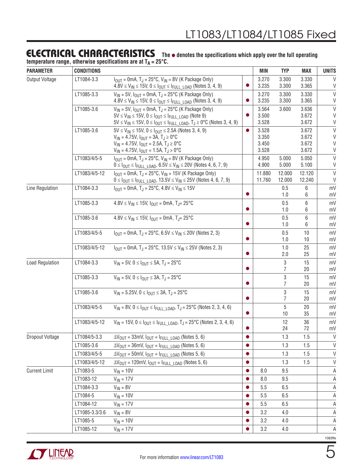#### Electrical Characteristics The  $\bullet$  denotes the specifications which apply over the full operating

temperature range, otherwise specifications are at T<sub>A</sub> = 25°C.

| <b>PARAMETER</b>       | <b>CONDITIONS</b> |                                                                                                                                                                         |           | MIN              | <b>TYP</b>          | <b>MAX</b>       | <b>UNITS</b> |
|------------------------|-------------------|-------------------------------------------------------------------------------------------------------------------------------------------------------------------------|-----------|------------------|---------------------|------------------|--------------|
| <b>Output Voltage</b>  | LT1084-3.3        | $I_{OUT}$ = 0mA, T <sub>J</sub> = 25°C, V <sub>IN</sub> = 8V (K Package Only)                                                                                           |           | 3.270            | 3.300               | 3.330            | $\vee$       |
|                        |                   | $4.8V \le V_{IN} \le 15V$ , $0 \le I_{OUT} \le I_{FULL}$ LOAD (Notes 3, 4, 9)                                                                                           | $\bullet$ | 3.235            | 3.300               | 3.365            | V            |
|                        | LT1085-3.3        | $V_{IN}$ = 5V, $I_{OUT}$ = 0mA, T <sub>J</sub> = 25°C (K Package Only)                                                                                                  |           | 3.270            | 3.300               | 3.330            | $\vee$       |
|                        |                   | $4.8V \le V_{IN} \le 15V$ , $0 \le I_{OUT} \le I_{FULL}$ LOAD (Notes 3, 4, 9)                                                                                           | $\bullet$ | 3.235            | 3.300               | 3.365            | V<br>$\vee$  |
|                        | LT1085-3.6        | $V_{IN}$ = 5V, $I_{OUT}$ = 0mA, T <sub>J</sub> = 25°C (K Package Only)<br>$5V \le V_{IN} \le 15V$ , $0 \le I_{OUT} \le I_{FULL}$ LOAD (Note 9)                          | $\bullet$ | 3.564<br>3.500   | 3.600               | 3.636<br>3.672   | V            |
|                        |                   | $5V \le V_{IN} \le 15V$ , $0 \le I_{OUT} \le I_{FULL\_LOAD}$ , $T_J \ge 0$ °C (Notes 3, 4, 9)                                                                           |           | 3.528            |                     | 3.672            | V            |
|                        | LT1085-3.6        | $5V \le V_{IN} \le 15V$ , $0 \le I_{OUT} \le 2.5A$ (Notes 3, 4, 9)                                                                                                      | $\bullet$ | 3.528            |                     | 3.672            | $\vee$       |
|                        |                   | $V_{IN} = 4.75V$ , $I_{OUT} = 3A$ , $T_J \ge 0$ °C                                                                                                                      |           | 3.350            |                     | 3.672            | $\mathsf V$  |
|                        |                   | $V_{IN}$ = 4.75V, $I_{OUT}$ = 2.5A, $T_J \ge 0$ °C                                                                                                                      |           | 3.450            |                     | 3.672            | V            |
|                        |                   | $V_{IN}$ = 4.75V, $I_{OUT}$ = 1.5A, $T_J > 0$ °C                                                                                                                        |           | 3.528            |                     | 3.672            | V            |
|                        | LT1083/4/5-5      | $I_{OUT}$ = 0mA, T <sub>J</sub> = 25°C, V <sub>IN</sub> = 8V (K Package Only)<br>$0 \leq I_{OUT} \leq I_{FULL\_LOAD}$ , 6.5V $\leq V_{IN} \leq 20V$ (Notes 4, 6, 7, 9)  |           | 4.950<br>4.900   | 5.000<br>5.000      | 5.050<br>5.100   | $\vee$<br>V  |
|                        | LT1083/4/5-12     | $I_{OUT} = 0$ mA, T <sub>J</sub> = 25°C, V <sub>IN</sub> = 15V (K Package Only)<br>$0 \leq I_{OUT} \leq I_{FULL}$ LOAD, $13.5V \leq V_{IN} \leq 25V$ (Notes 4, 6, 7, 9) |           | 11.880<br>11.760 | 12.000<br>12.000    | 12.120<br>12.240 | $\vee$<br>V  |
| Line Regulation        | LT1084-3.3        | $I_{\text{OUT}} = 0 \text{mA}, T_J = 25^{\circ}\text{C}, 4.8 \text{V} \leq V_{\text{IN}} \leq 15 \text{V}$                                                              |           |                  | 0.5                 | 6                | mV           |
|                        |                   |                                                                                                                                                                         | $\bullet$ |                  | 1.0                 | 6                | mV           |
|                        | LT1085-3.3        | $4.8V \le V_{IN} \le 15V$ , $I_{OUIT} = 0mA$ , $T_{JI} = 25^{\circ}C$                                                                                                   |           |                  | 0.5                 | 6                | mV           |
|                        |                   |                                                                                                                                                                         |           |                  | 1.0                 | 6                | mV           |
|                        | LT1085-3.6        | $4.8V \le V_{IN} \le 15V$ , $I_{OUIT} = 0mA$ , $T_{JI} = 25^{\circ}C$                                                                                                   |           |                  | 0.5                 | 6                | mV           |
|                        |                   |                                                                                                                                                                         |           |                  | 1.0                 | 6                | mV           |
|                        | LT1083/4/5-5      | $I_{\text{OUT}} = 0 \text{mA}, T_J = 25^{\circ}\text{C}, 6.5 \text{V} \leq V_{\text{IN}} \leq 20 \text{V}$ (Notes 2, 3)                                                 |           |                  | 0.5<br>1.0          | 10<br>10         | mV<br>mV     |
|                        | LT1083/4/5-12     | $I_{OIII}$ = 0mA, T <sub>J</sub> = 25°C, 13.5V $\leq$ V <sub>IN</sub> $\leq$ 25V (Notes 2, 3)                                                                           |           |                  | 1.0                 | 25               | mV           |
|                        |                   |                                                                                                                                                                         |           |                  | 2.0                 | 25               | mV           |
| <b>Load Regulation</b> | LT1084-3.3        | $V_{IN}$ = 5V, 0 $\leq$ $I_{OUT}$ $\leq$ 5A, T <sub>J</sub> = 25°C                                                                                                      |           |                  | $\mathfrak{Z}$      | 15               | mV           |
|                        |                   |                                                                                                                                                                         | $\bullet$ |                  | $\overline{7}$      | 20               | mV           |
|                        | LT1085-3.3        | $V_{IN}$ = 5V, 0 $\leq$ $I_{OUT}$ $\leq$ 3A, T <sub>J</sub> = 25°C                                                                                                      |           |                  | 3                   | 15               | mV           |
|                        |                   |                                                                                                                                                                         |           |                  | $\overline{7}$      | 20               | mV           |
|                        | LT1085-3.6        | $V_{IN}$ = 5.25V, 0 $\leq$ $I_{OUIT}$ $\leq$ 3A, T <sub>J</sub> = 25 <sup>o</sup> C                                                                                     |           |                  | 3<br>$\overline{7}$ | 15<br>20         | mV           |
|                        | LT1083/4/5-5      |                                                                                                                                                                         |           |                  | 5                   |                  | mV           |
|                        |                   | $V_{IN}$ = 8V, 0 $\leq$ $I_{OUT}$ $\leq$ $I_{FULL}$ $LOAD$ , T <sub>J</sub> = 25°C (Notes 2, 3, 4, 6)                                                                   | $\bullet$ |                  | 10                  | 20<br>35         | mV<br>mV     |
|                        | LT1083/4/5-12     | $V_{IN}$ = 15V, 0 $\leq$ $I_{OUT}$ $\leq$ $I_{FULL}$ $L_{OAD}$ , T <sub>J</sub> = 25°C (Notes 2, 3, 4, 6)                                                               |           |                  | 12                  | 36               | mV           |
|                        |                   |                                                                                                                                                                         |           |                  | 24                  | 72               | mV           |
| Dropout Voltage        | LT1084/5-3.3      | $\Delta V_{\text{OUT}} = 33 \text{mV}$ , $I_{\text{OUT}} = I_{\text{FULL}}$ LOAD (Notes 5, 6)                                                                           | $\bullet$ |                  | 1.3                 | 1.5              | $\mathsf{V}$ |
|                        | LT1085-3.6        | $\Delta V_{\text{OUT}} = 36$ mV, $I_{\text{OUT}} = I_{\text{FULL}}$ LOAD (Notes 5, 6)                                                                                   |           |                  | 1.3                 | 1.5              | V            |
|                        | LT1083/4/5-5      | $\Delta V_{\text{OUT}} = 50$ mV, $I_{\text{OUT}} = I_{\text{FULL}\_\text{LOAD}}$ (Notes 5, 6)                                                                           | $\bullet$ |                  | 1.3                 | 1.5              | $\mathsf{V}$ |
|                        | LT1083/4/5-12     | $\Delta V_{\text{OUT}}$ = 120mV, $I_{\text{OUT}}$ = $I_{\text{FULL}}$ LOAD (Notes 5, 6)                                                                                 | $\bullet$ |                  | 1.3                 | 1.5              | $\vee$       |
| <b>Current Limit</b>   | LT1083-5          | $V_{IN} = 10V$                                                                                                                                                          |           | 8.0              | 9.5                 |                  | A            |
|                        | LT1083-12         | $V_{IN} = 17V$                                                                                                                                                          |           | 8.0              | 9.5                 |                  | Α            |
|                        | LT1084-3.3        | $V_{IN} = 8V$                                                                                                                                                           |           | 5.5              | 6.5                 |                  | Α            |
|                        | LT1084-5          | $V_{IN} = 10V$                                                                                                                                                          |           | 5.5              | 6.5                 |                  | Α            |
|                        | LT1084-12         | $V_{IN}$ = 17V                                                                                                                                                          |           | 5.5              | 6.5                 |                  | Α            |
|                        | LT1085-3.3/3.6    | $V_{IN} = 8V$                                                                                                                                                           |           | 3.2              | 4.0                 |                  | Α            |
|                        | LT1085-5          | $V_{IN} = 10V$                                                                                                                                                          |           | 3.2              | 4.0                 |                  | A            |
|                        | LT1085-12         | $V_{IN} = 17V$                                                                                                                                                          |           | 3.2              | 4.0                 |                  | A            |
|                        |                   |                                                                                                                                                                         |           |                  |                     |                  |              |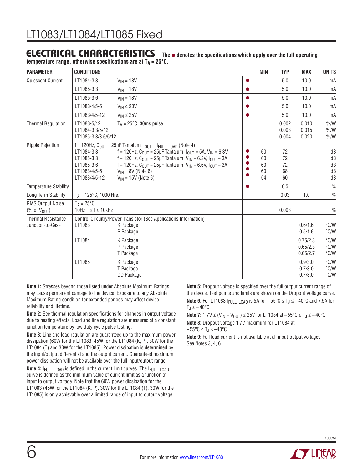# **ELECTRICAL CHARACTERISTICS** The  $\bullet$  denotes the specifications which apply over the full operating

temperature range, otherwise specifications are at T<sub>A</sub> = 25°C.

| <b>PARAMETER</b>                                                                                                    | <b>CONDITIONS</b>                                                       |                                                                                                                                                                                                                                                                                                                                                                                                                                         |           | MIN                        | <b>TYP</b>                 | <b>MAX</b>                       | <b>UNITS</b>                     |
|---------------------------------------------------------------------------------------------------------------------|-------------------------------------------------------------------------|-----------------------------------------------------------------------------------------------------------------------------------------------------------------------------------------------------------------------------------------------------------------------------------------------------------------------------------------------------------------------------------------------------------------------------------------|-----------|----------------------------|----------------------------|----------------------------------|----------------------------------|
| <b>Quiescent Current</b>                                                                                            | LT1084-3.3                                                              | $V_{IN} = 18V$                                                                                                                                                                                                                                                                                                                                                                                                                          | $\bullet$ |                            | 5.0                        | 10.0                             | mA                               |
|                                                                                                                     | LT1085-3.3                                                              | $V_{IN} = 18V$                                                                                                                                                                                                                                                                                                                                                                                                                          | ●         |                            | 5.0                        | 10.0                             | mA                               |
|                                                                                                                     | LT1085-3.6                                                              | $V_{IN} = 18V$                                                                                                                                                                                                                                                                                                                                                                                                                          | 0         |                            | 5.0                        | 10.0                             | mA                               |
|                                                                                                                     | LT1083/4/5-5                                                            | $V_{IN} \leq 20V$                                                                                                                                                                                                                                                                                                                                                                                                                       | $\bullet$ |                            | 5.0                        | 10.0                             | mA                               |
|                                                                                                                     | LT1083/4/5-12                                                           | $V_{IN} \leq 25V$                                                                                                                                                                                                                                                                                                                                                                                                                       | ●         |                            | 5.0                        | 10.0                             | mA                               |
| <b>Thermal Regulation</b>                                                                                           | LT1083-5/12<br>LT1084-3.3/5/12<br>LT1085-3.3/3.6/5/12                   | $T_A = 25^{\circ}C$ , 30ms pulse                                                                                                                                                                                                                                                                                                                                                                                                        |           |                            | 0.002<br>0.003<br>0.004    | 0.010<br>0.015<br>0.020          | $\% / W$<br>$\% / W$<br>$\% / W$ |
| <b>Ripple Rejection</b>                                                                                             | LT1084-3.3<br>LT1085-3.3<br>LT1085-3.6<br>LT1083/4/5-5<br>LT1083/4/5-12 | f = 120Hz, $C_{\text{OUT}}$ = 25µF Tantalum, $I_{\text{OUT}}$ = $I_{\text{FULL}}$ $I_{\text{OAD}}$ (Note 4)<br>f = 120Hz, $C_{\text{OUT}}$ = 25µF Tantalum, $I_{\text{OUT}}$ = 5A, $V_{\text{IN}}$ = 6.3V<br>f = 120Hz, $C_{OIII}$ = 25µF Tantalum, $V_{IN}$ = 6.3V, $I_{OIII}$ = 3A<br>f = 120Hz, $C_{\text{OUT}}$ = 25µF Tantalum, $V_{\text{IN}}$ = 6.6V, $I_{\text{OUT}}$ = 3A<br>$V_{IN}$ = 8V (Note 6)<br>$V_{IN}$ = 15V (Note 6) |           | 60<br>60<br>60<br>60<br>54 | 72<br>72<br>72<br>68<br>60 |                                  | dB<br>dB<br>dB<br>dB<br>dB       |
| <b>Temperature Stability</b>                                                                                        |                                                                         |                                                                                                                                                                                                                                                                                                                                                                                                                                         | $\bullet$ |                            | 0.5                        |                                  | $\frac{0}{0}$                    |
| Long Term Stability                                                                                                 | $T_A = 125^{\circ}C$ , 1000 Hrs.                                        |                                                                                                                                                                                                                                                                                                                                                                                                                                         |           |                            | 0.03                       | 1.0                              | $\frac{0}{0}$                    |
| <b>RMS Output Noise</b><br>$(% \mathcal{O}(\mathcal{O})\rightarrow \mathcal{O}(\mathcal{O}))$ of $V_{\text{OUT}}$ ) | $T_A = 25^{\circ}C$<br>$10Hz = 5$ f $\leq 10kHz$                        |                                                                                                                                                                                                                                                                                                                                                                                                                                         |           |                            | 0.003                      |                                  | $\frac{0}{0}$                    |
| <b>Thermal Resistance</b><br>Junction-to-Case                                                                       | LT1083                                                                  | Control Circuitry/Power Transistor (See Applications Information)<br>K Package<br>P Package                                                                                                                                                                                                                                                                                                                                             |           |                            |                            | 0.6/1.6<br>0.5/1.6               | °C/W<br>°C/W                     |
|                                                                                                                     | LT1084                                                                  | K Package<br>P Package<br>T Package                                                                                                                                                                                                                                                                                                                                                                                                     |           |                            |                            | 0.75/2.3<br>0.65/2.3<br>0.65/2.7 | °C/W<br>°C/W<br>°C/W             |
|                                                                                                                     | LT1085                                                                  | K Package<br>T Package<br>DD Package                                                                                                                                                                                                                                                                                                                                                                                                    |           |                            |                            | 0.9/3.0<br>0.7/3.0<br>0.7/3.0    | °C/W<br>°C/W<br>$\degree$ C/W    |

**Note 1:** Stresses beyond those listed under Absolute Maximum Ratings may cause permanent damage to the device. Exposure to any Absolute Maximum Rating condition for extended periods may affect device reliability and lifetime.

**Note 2:** See thermal regulation specifications for changes in output voltage due to heating effects. Load and line regulation are measured at a constant junction temperature by low duty cycle pulse testing.

**Note 3:** Line and load regulation are guaranteed up to the maximum power dissipation (60W for the LT1083, 45W for the LT1084 (K, P), 30W for the LT1084 (T) and 30W for the LT1085). Power dissipation is determined by the input/output differential and the output current. Guaranteed maximum power dissipation will not be available over the full input/output range.

**Note 4:** I<sub>FULL LOAD</sub> is defined in the current limit curves. The I<sub>FULL LOAD</sub> curve is defined as the minimum value of current limit as a function of input to output voltage. Note that the 60W power dissipation for the LT1083 (45W for the LT1084 (K, P), 30W for the LT1084 (T), 30W for the LT1085) is only achievable over a limited range of input to output voltage.

**Note 5:** Dropout voltage is specified over the full output current range of the device. Test points and limits are shown on the Dropout Voltage curve.

**Note 6:** For LT1083  $I_{\text{FULL LOAD}}$  is 5A for  $-55^{\circ}\text{C} \leq T_J \leq -40^{\circ}\text{C}$  and 7.5A for  $T_J \ge -40^{\circ}C$ .

**Note 7:** 1.7V ≤ (V<sub>IN</sub> – V<sub>OUT</sub>) ≤ 25V for LT1084 at –55°C ≤ T<sub>J</sub> ≤ –40°C. **Note 8:** Dropout voltage 1.7V maximum for LT1084 at  $-55^{\circ}$ C  $\leq$  T<sub>J</sub>  $\leq$  -40°C.

**Note 9:** Full load current is not available at all input-output voltages. See Notes 3, 4, 6.

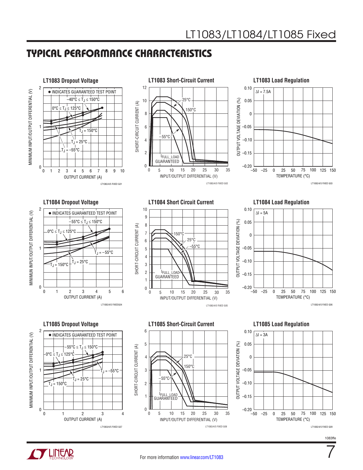## Typical Performance Characteristics





7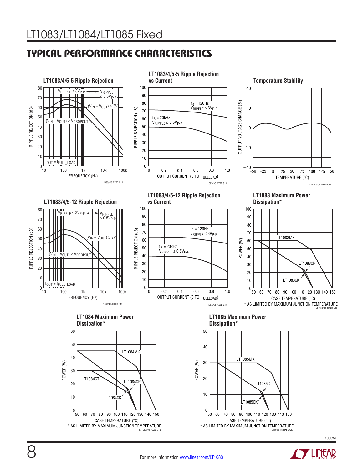## Typical Performance Characteristics



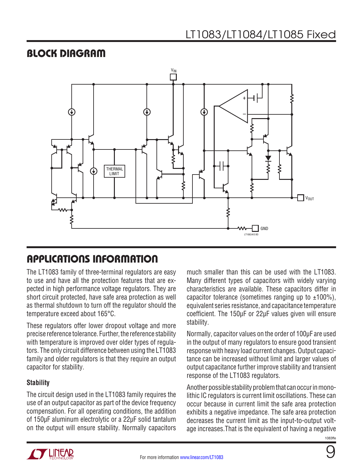## Block Diagram



## Applications Information

The LT1083 family of three-terminal regulators are easy to use and have all the protection features that are expected in high performance voltage regulators. They are short circuit protected, have safe area protection as well as thermal shutdown to turn off the regulator should the temperature exceed about 165°C.

These regulators offer lower dropout voltage and more precise reference tolerance. Further, the reference stability with temperature is improved over older types of regulators. The only circuit difference between using the LT1083 family and older regulators is that they require an output capacitor for stability.

#### **Stability**

The circuit design used in the LT1083 family requires the use of an output capacitor as part of the device frequency compensation. For all operating conditions, the addition of 150µF aluminum electrolytic or a 22µF solid tantalum on the output will ensure stability. Normally capacitors much smaller than this can be used with the LT1083. Many different types of capacitors with widely varying characteristics are available. These capacitors differ in capacitor tolerance (sometimes ranging up to  $\pm 100\%$ ). equivalent series resistance, and capacitance temperature coefficient. The 150µF or 22µF values given will ensure stability.

Normally, capacitor values on the order of 100µF are used in the output of many regulators to ensure good transient response with heavy load current changes. Output capacitance can be increased without limit and larger values of output capacitance further improve stability and transient response of the LT1083 regulators.

Another possible stability problem that can occur in monolithic IC regulators is current limit oscillations. These can occur because in current limit the safe area protection exhibits a negative impedance. The safe area protection decreases the current limit as the input-to-output voltage increases.That is the equivalent of having a negative

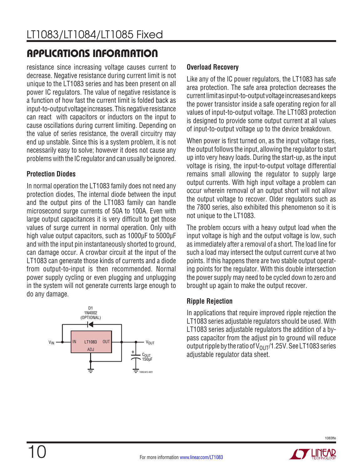# applications information

resistance since increasing voltage causes current to decrease. Negative resistance during current limit is not unique to the LT1083 series and has been present on all power IC regulators. The value of negative resistance is a function of how fast the current limit is folded back as input-to-output voltage increases. This negative resistance can react with capacitors or inductors on the input to cause oscillations during current limiting. Depending on the value of series resistance, the overall circuitry may end up unstable. Since this is a system problem, it is not necessarily easy to solve; however it does not cause any problems with the IC regulator and can usually be ignored.

### **Protection Diodes**

In normal operation the LT1083 family does not need any protection diodes, The internal diode between the input and the output pins of the LT1083 family can handle microsecond surge currents of 50A to 100A. Even with large output capacitances it is very difficult to get those values of surge current in normal operation. Only with high value output capacitors, such as 1000µF to 5000µF and with the input pin instantaneously shorted to ground, can damage occur. A crowbar circuit at the input of the LT1083 can generate those kinds of currents and a diode from output-to-input is then recommended. Normal power supply cycling or even plugging and unplugging in the system will not generate currents large enough to do any damage.



### **Overload Recovery**

Like any of the IC power regulators, the LT1083 has safe area protection. The safe area protection decreases the current limit as input-to-output voltage increases and keeps the power transistor inside a safe operating region for all values of input-to-output voltage. The LT1083 protection is designed to provide some output current at all values of input-to-output voltage up to the device breakdown.

When power is first turned on, as the input voltage rises, the output follows the input, allowing the regulator to start up into very heavy loads. During the start-up, as the input voltage is rising, the input-to-output voltage differential remains small allowing the regulator to supply large output currents. With high input voltage a problem can occur wherein removal of an output short will not allow the output voltage to recover. Older regulators such as the 7800 series, also exhibited this phenomenon so it is not unique to the LT1083.

The problem occurs with a heavy output load when the input voltage is high and the output voltage is low, such as immediately after a removal of a short. The load line for such a load may intersect the output current curve at two points. If this happens there are two stable output operating points for the regulator. With this double intersection the power supply may need to be cycled down to zero and brought up again to make the output recover.

## **Ripple Rejection**

In applications that require improved ripple rejection the LT1083 series adjustable regulators should be used. With LT1083 series adjustable regulators the addition of a bypass capacitor from the adjust pin to ground will reduce output ripple by the ratio of  $V_{OUT}/1.25V$ . See LT1083 series adjustable regulator data sheet.

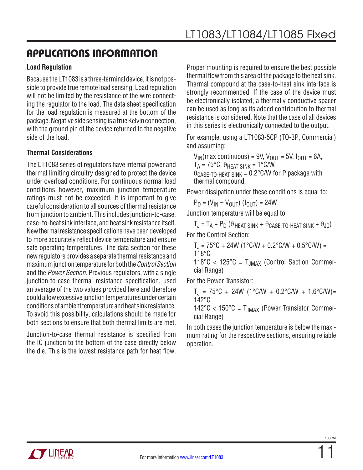## applications information

#### **Load Regulation**

Because the LT1083 is a three-terminal device, it is not possible to provide true remote load sensing. Load regulation will not be limited by the resistance of the wire connecting the regulator to the load. The data sheet specification for the load regulation is measured at the bottom of the package. Negative side sensing is a true Kelvin connection, with the ground pin of the device returned to the negative side of the load.

#### **Thermal Considerations**

The LT1083 series of regulators have internal power and thermal limiting circuitry designed to protect the device under overload conditions. For continuous normal load conditions however, maximum junction temperature ratings must not be exceeded. It is important to give careful consideration to all sources of thermal resistance from junction to ambient. This includes junction-to-case, case- to-heat sink interface, and heat sink resistance itself. New thermal resistance specifications have been developed to more accurately reflect device temperature and ensure safe operating temperatures. The data section for these new regulators provides a separate thermal resistance and maximum junction temperature for both the *Control Section* and the *Power Section*. Previous regulators, with a single junction-to-case thermal resistance specification, used an average of the two values provided here and therefore could allow excessive junction temperatures under certain conditions of ambient temperature and heat sink resistance. To avoid this possibility, calculations should be made for both sections to ensure that both thermal limits are met.

Junction-to-case thermal resistance is specified from the IC junction to the bottom of the case directly below the die. This is the lowest resistance path for heat flow. Proper mounting is required to ensure the best possible thermal flow from this area of the package to the heat sink. Thermal compound at the case-to-heat sink interface is strongly recommended. If the case of the device must be electronically isolated, a thermally conductive spacer can be used as long as its added contribution to thermal resistance is considered. Note that the case of all devices in this series is electronically connected to the output.

For example, using a LT1083-5CP (TO-3P, Commercial) and assuming:

 $V_{IN}(max$  continuous) = 9V,  $V_{OUIT}$  = 5V,  $I_{OUIT}$  = 6A,  $T_A = 75^{\circ}$ C,  $\theta_{HFAT SINK} = 1^{\circ}$ C/W,  $\theta$ CASE-TO-HEAT SINK = 0.2°C/W for P package with thermal compound.

Power dissipation under these conditions is equal to:

 $P_D = (V_{IN} - V_{OUT}) (I_{OUT}) = 24W$ 

Junction temperature will be equal to:

 $T_J = T_A + P_D$  ( $\theta$  heat sink +  $\theta$  case-to-heat sink +  $\theta_{JC}$ ) For the Control Section:

$$
T_J = 75\degree C + 24W (1\degree C/W + 0.2\degree C/W + 0.5\degree C/W) = 118\degree C
$$

 $118^{\circ}$ C <  $125^{\circ}$ C = T<sub>JMAX</sub> (Control Section Commercial Range)

For the Power Transistor:

$$
T_J = 75^{\circ}C + 24W (1^{\circ}C/W + 0.2^{\circ}C/W + 1.6^{\circ}C/W) = 142^{\circ}C
$$

 $142^{\circ}$ C <  $150^{\circ}$ C = T<sub>JMAX</sub> (Power Transistor Commercial Range)

In both cases the junction temperature is below the maximum rating for the respective sections, ensuring reliable operation.

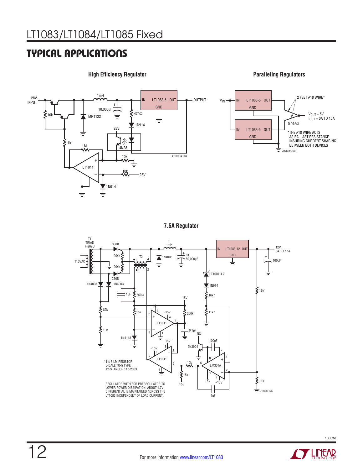## Typical Applications



**High Efficiency Regulator Paralleling Regulators**



**7.5A Regulator**



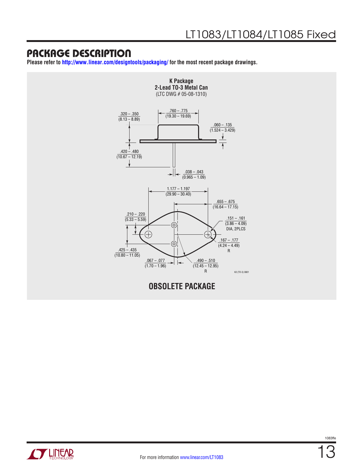**Please refer to <http://www.linear.com/designtools/packaging/>for the most recent package drawings.**



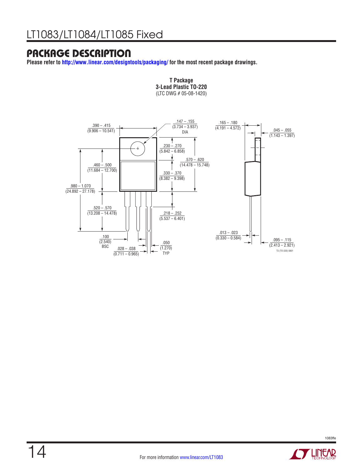**Please refer to <http://www.linear.com/designtools/packaging/>for the most recent package drawings.**



**T Package 3-Lead Plastic TO-220** (LTC DWG # 05-08-1420) **T Package**

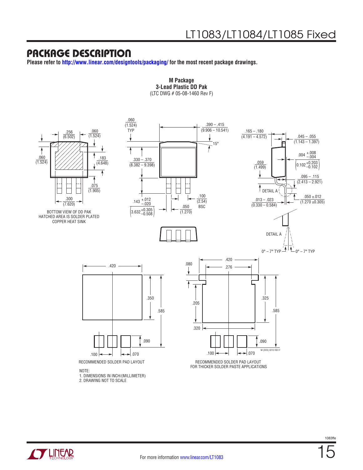**CZ LINEAR** 

**Please refer to <http://www.linear.com/designtools/packaging/>for the most recent package drawings.**



15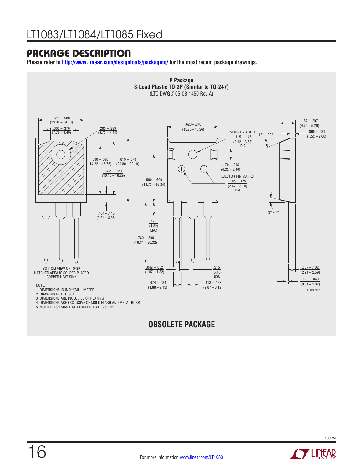**Please refer to <http://www.linear.com/designtools/packaging/>for the most recent package drawings.**



## **OBSOLETE PACKAGE**

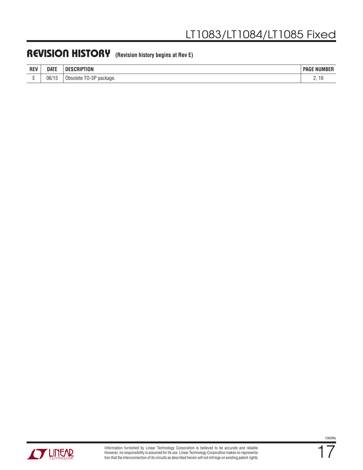## Revision History **(Revision history begins at Rev E)**

| <b>REV</b> | <b>DATE</b> | CRIPTION<br><b>SCRIP</b><br>Ш<br>$-$ | : NUMBER<br><b>PAGE</b> |
|------------|-------------|--------------------------------------|-------------------------|
| -          | 06/15       | $TO-3P$<br>' package.<br>Obsolete    | <u>.</u><br>◡           |